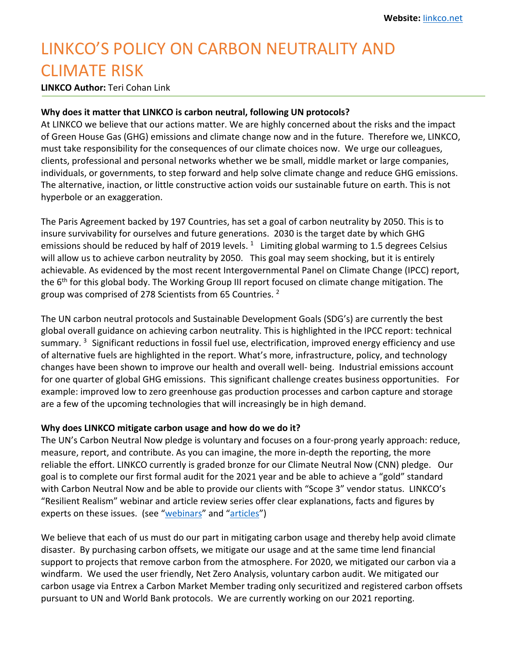## LINKCO'S POLICY ON CARBON NEUTRALITY AND CLIMATE RISK

**LINKCO Author:** Teri Cohan Link

## **Why does it matter that LINKCO is carbon neutral, following UN protocols?**

At LINKCO we believe that our actions matter. We are highly concerned about the risks and the impact of Green House Gas (GHG) emissions and climate change now and in the future. Therefore we, LINKCO, must take responsibility for the consequences of our climate choices now. We urge our colleagues, clients, professional and personal networks whether we be small, middle market or large companies, individuals, or governments, to step forward and help solve climate change and reduce GHG emissions. The alternative, inaction, or little constructive action voids our sustainable future on earth. This is not hyperbole or an exaggeration.

The Paris Agreement backed by 197 Countries, has set a goal of carbon neutrality by 2050. This is to insure survivability for ourselves and future generations. 2030 is the target date by which GHG emissions should be reduced by half of 2019 levels.  $1$  Limiting global warming to 1.5 degrees Celsius will allow us to achieve carbon neutrality by 2050. This goal may seem shocking, but it is entirely achievable. As evidenced by the most recent Intergovernmental Panel on Climate Change (IPCC) report, the 6<sup>th</sup> for this global body. The Working Group III report focused on climate change mitigation. The group was comprised of 278 Scientists from 65 Countries. 2

The UN carbon neutral protocols and Sustainable Development Goals (SDG's) are currently the best global overall guidance on achieving carbon neutrality. This is highlighted in the IPCC report: technical summary.  $3$  Significant reductions in fossil fuel use, electrification, improved energy efficiency and use of alternative fuels are highlighted in the report. What's more, infrastructure, policy, and technology changes have been shown to improve our health and overall well- being. Industrial emissions account for one quarter of global GHG emissions. This significant challenge creates business opportunities. For example: improved low to zero greenhouse gas production processes and carbon capture and storage are a few of the upcoming technologies that will increasingly be in high demand.

## **Why does LINKCO mitigate carbon usage and how do we do it?**

The UN's Carbon Neutral Now pledge is voluntary and focuses on a four-prong yearly approach: reduce, measure, report, and contribute. As you can imagine, the more in-depth the reporting, the more reliable the effort. LINKCO currently is graded bronze for our Climate Neutral Now (CNN) pledge. Our goal is to complete our first formal audit for the 2021 year and be able to achieve a "gold" standard with Carbon Neutral Now and be able to provide our clients with "Scope 3" vendor status. LINKCO's "Resilient Realism" webinar and article review series offer clear explanations, facts and figures by experts on these issues. (see "webinars" and "articles")

We believe that each of us must do our part in mitigating carbon usage and thereby help avoid climate disaster. By purchasing carbon offsets, we mitigate our usage and at the same time lend financial support to projects that remove carbon from the atmosphere. For 2020, we mitigated our carbon via a windfarm. We used the user friendly, Net Zero Analysis, voluntary carbon audit. We mitigated our carbon usage via Entrex a Carbon Market Member trading only securitized and registered carbon offsets pursuant to UN and World Bank protocols. We are currently working on our 2021 reporting.